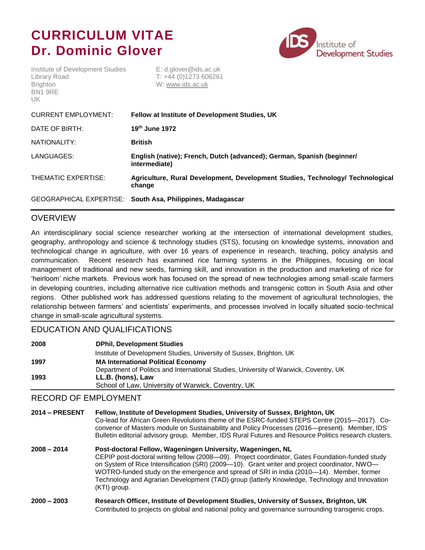# **CURRICULUM VITAE Dr. Dominic Glover**



Institute of Development Studies E: d.glover@ids.ac.uk Library Road T: +44 (0)1273 606261 Brighton W: [www.ids.ac.uk](http://www.ids.ac.uk/) BN1 9RE UK

| <b>CURRENT EMPLOYMENT:</b> | Fellow at Institute of Development Studies, UK                                           |
|----------------------------|------------------------------------------------------------------------------------------|
| DATE OF BIRTH:             | $19th$ June 1972                                                                         |
| NATIONALITY:               | <b>British</b>                                                                           |
| LANGUAGES:                 | English (native); French, Dutch (advanced); German, Spanish (beginner/<br>intermediate)  |
| THEMATIC EXPERTISE:        | Agriculture, Rural Development, Development Studies, Technology/ Technological<br>change |
|                            | GEOGRAPHICAL EXPERTISE: South Asa, Philippines, Madagascar                               |

## **OVERVIEW**

An interdisciplinary social science researcher working at the intersection of international development studies, geography, anthropology and science & technology studies (STS), focusing on knowledge systems, innovation and technological change in agriculture, with over 16 years of experience in research, teaching, policy analysis and communication. Recent research has examined rice farming systems in the Philippines, focusing on local management of traditional and new seeds, farming skill, and innovation in the production and marketing of rice for 'heirloom' niche markets. Previous work has focused on the spread of new technologies among small-scale farmers in developing countries, including alternative rice cultivation methods and transgenic cotton in South Asia and other regions. Other published work has addressed questions relating to the movement of agricultural technologies, the relationship between farmers' and scientists' experiments, and processes involved in locally situated socio-technical change in small-scale agricultural systems.

## EDUCATION AND QUALIFICATIONS

| 2008 | <b>DPhil, Development Studies</b>                                                     |
|------|---------------------------------------------------------------------------------------|
|      | Institute of Development Studies, University of Sussex, Brighton, UK                  |
| 1997 | <b>MA International Political Economy</b>                                             |
|      | Department of Politics and International Studies, University of Warwick, Coventry, UK |
| 1993 | LL.B. (hons), Law                                                                     |
|      | School of Law, University of Warwick, Coventry, UK                                    |

## RECORD OF EMPLOYMENT

| <b>2014 - PRESENT</b> | Fellow, Institute of Development Studies, University of Sussex, Brighton, UK<br>Co-lead for African Green Revolutions theme of the ESRC-funded STEPS Centre (2015—2017). Co-<br>convenor of Masters module on Sustainability and Policy Processes (2016—present). Member, IDS<br>Bulletin editorial advisory group. Member, IDS Rural Futures and Resource Politics research clusters.                                                                                         |
|-----------------------|--------------------------------------------------------------------------------------------------------------------------------------------------------------------------------------------------------------------------------------------------------------------------------------------------------------------------------------------------------------------------------------------------------------------------------------------------------------------------------|
| $2008 - 2014$         | Post-doctoral Fellow, Wageningen University, Wageningen, NL<br>CEPIP post-doctoral writing fellow (2008-09). Project coordinator, Gates Foundation-funded study<br>on System of Rice Intensification (SRI) (2009—10). Grant writer and project coordinator, NWO—<br>WOTRO-funded study on the emergence and spread of SRI in India (2010—14). Member, former<br>Technology and Agrarian Development (TAD) group (latterly Knowledge, Technology and Innovation<br>(KTI) group. |
| $2000 - 2003$         | Research Officer, Institute of Development Studies, University of Sussex, Brighton, UK                                                                                                                                                                                                                                                                                                                                                                                         |

Contributed to projects on global and national policy and governance surrounding transgenic crops.